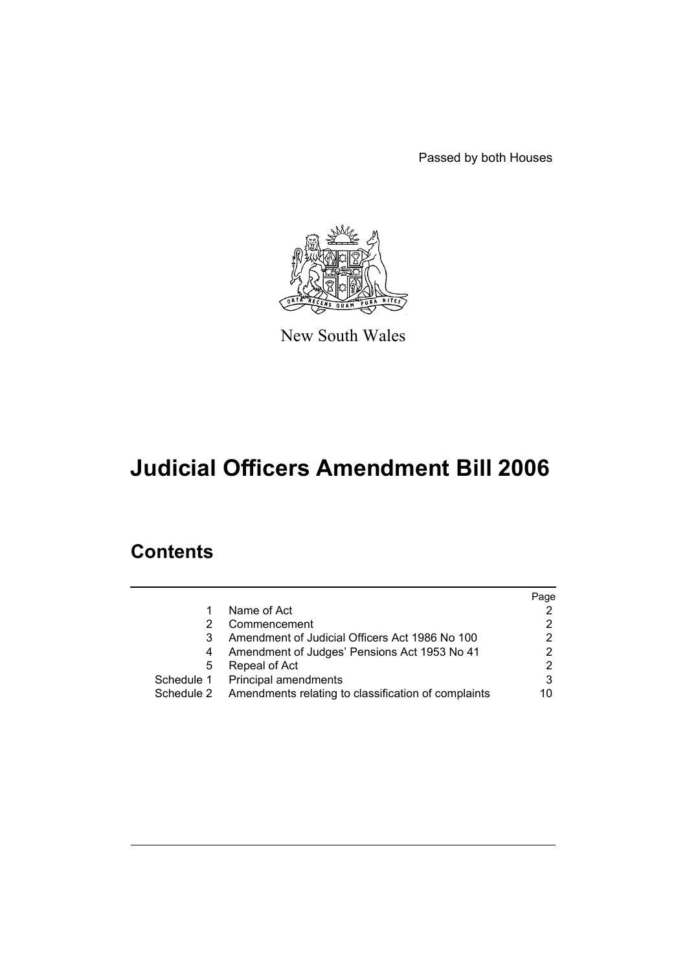Passed by both Houses



New South Wales

# **Judicial Officers Amendment Bill 2006**

# **Contents**

|   |                                                                | Page |
|---|----------------------------------------------------------------|------|
|   | Name of Act                                                    |      |
|   | Commencement                                                   |      |
|   | Amendment of Judicial Officers Act 1986 No 100                 | 2    |
|   | Amendment of Judges' Pensions Act 1953 No 41                   |      |
| 5 | Repeal of Act                                                  | 2    |
|   | Schedule 1 Principal amendments                                | 3    |
|   | Schedule 2 Amendments relating to classification of complaints | 10   |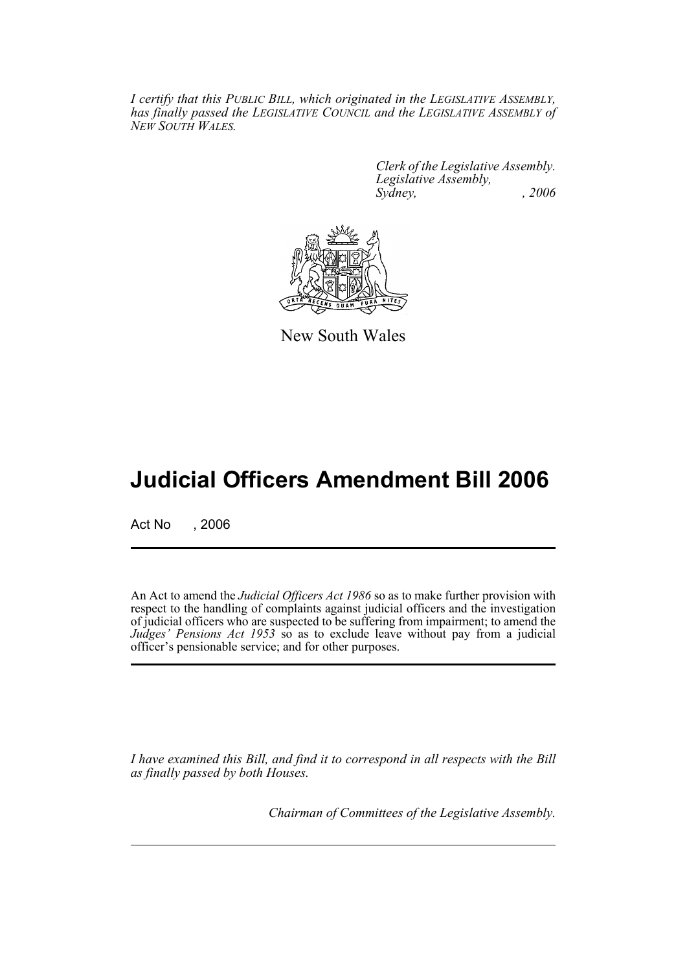*I certify that this PUBLIC BILL, which originated in the LEGISLATIVE ASSEMBLY, has finally passed the LEGISLATIVE COUNCIL and the LEGISLATIVE ASSEMBLY of NEW SOUTH WALES.*

> *Clerk of the Legislative Assembly. Legislative Assembly, Sydney, , 2006*



New South Wales

# **Judicial Officers Amendment Bill 2006**

Act No , 2006

An Act to amend the *Judicial Officers Act 1986* so as to make further provision with respect to the handling of complaints against judicial officers and the investigation of judicial officers who are suspected to be suffering from impairment; to amend the *Judges' Pensions Act 1953* so as to exclude leave without pay from a judicial officer's pensionable service; and for other purposes.

*I have examined this Bill, and find it to correspond in all respects with the Bill as finally passed by both Houses.*

*Chairman of Committees of the Legislative Assembly.*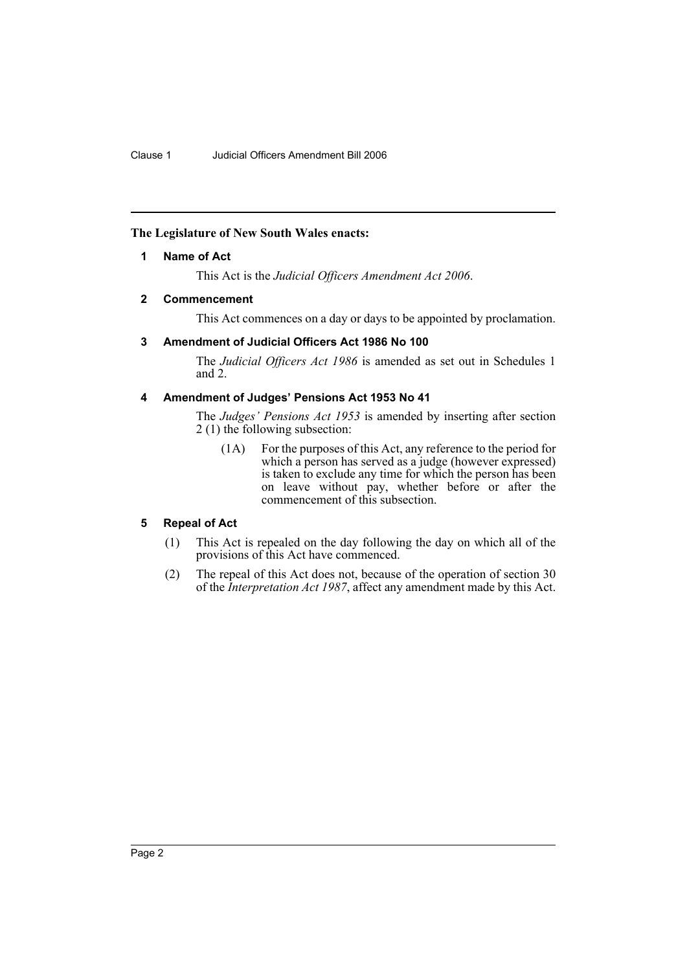## **The Legislature of New South Wales enacts:**

#### **1 Name of Act**

This Act is the *Judicial Officers Amendment Act 2006*.

#### **2 Commencement**

This Act commences on a day or days to be appointed by proclamation.

#### **3 Amendment of Judicial Officers Act 1986 No 100**

The *Judicial Officers Act 1986* is amended as set out in Schedules 1 and 2.

## **4 Amendment of Judges' Pensions Act 1953 No 41**

The *Judges' Pensions Act 1953* is amended by inserting after section 2 (1) the following subsection:

(1A) For the purposes of this Act, any reference to the period for which a person has served as a judge (however expressed) is taken to exclude any time for which the person has been on leave without pay, whether before or after the commencement of this subsection.

# **5 Repeal of Act**

- (1) This Act is repealed on the day following the day on which all of the provisions of this Act have commenced.
- (2) The repeal of this Act does not, because of the operation of section 30 of the *Interpretation Act 1987*, affect any amendment made by this Act.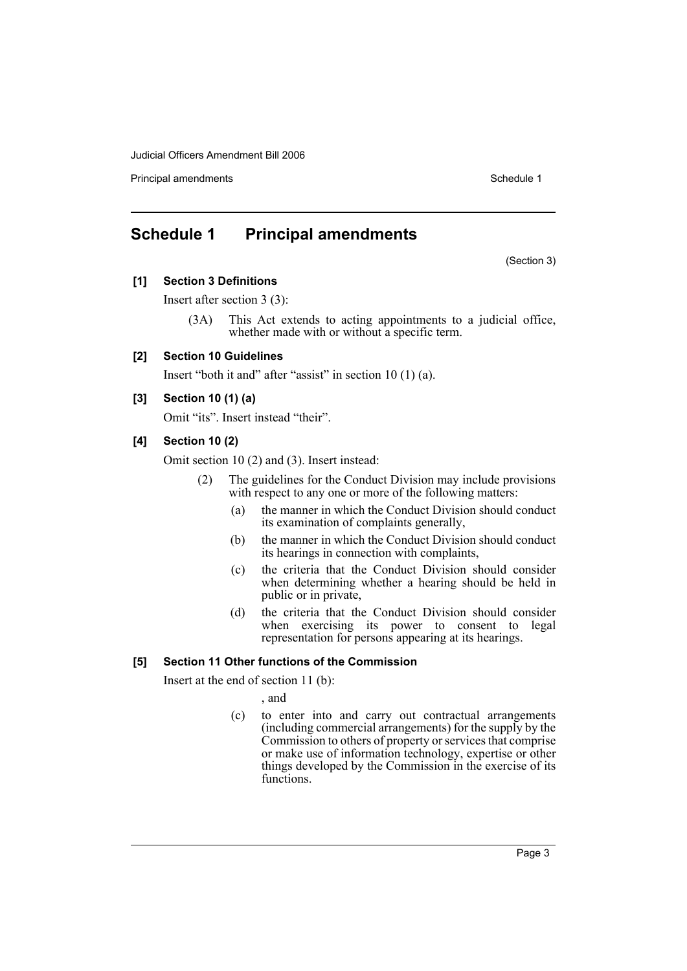**Principal amendments Schedule 1 Contract 2 Contract 2 Schedule 1 Schedule 1** 

# **Schedule 1 Principal amendments**

(Section 3)

**[1] Section 3 Definitions**

Insert after section 3 (3):

(3A) This Act extends to acting appointments to a judicial office, whether made with or without a specific term.

# **[2] Section 10 Guidelines**

Insert "both it and" after "assist" in section 10 (1) (a).

# **[3] Section 10 (1) (a)**

Omit "its". Insert instead "their".

# **[4] Section 10 (2)**

Omit section 10 (2) and (3). Insert instead:

- (2) The guidelines for the Conduct Division may include provisions with respect to any one or more of the following matters:
	- (a) the manner in which the Conduct Division should conduct its examination of complaints generally,
	- (b) the manner in which the Conduct Division should conduct its hearings in connection with complaints,
	- (c) the criteria that the Conduct Division should consider when determining whether a hearing should be held in public or in private,
	- (d) the criteria that the Conduct Division should consider when exercising its power to consent to legal representation for persons appearing at its hearings.

# **[5] Section 11 Other functions of the Commission**

Insert at the end of section 11 (b):

, and

(c) to enter into and carry out contractual arrangements (including commercial arrangements) for the supply by the Commission to others of property or services that comprise or make use of information technology, expertise or other things developed by the Commission in the exercise of its functions.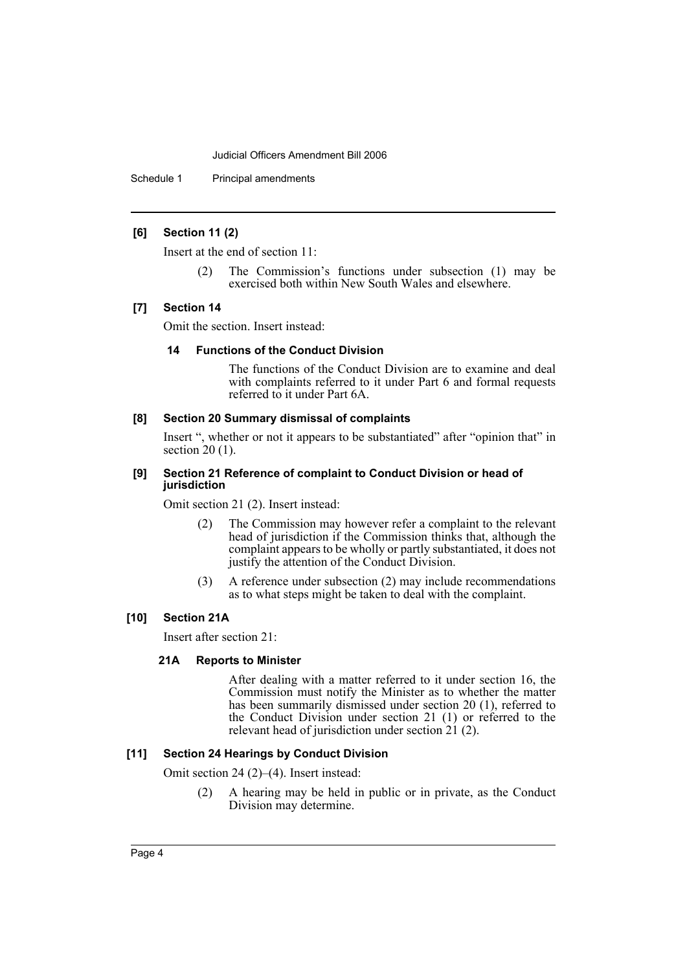Schedule 1 Principal amendments

### **[6] Section 11 (2)**

Insert at the end of section 11:

(2) The Commission's functions under subsection (1) may be exercised both within New South Wales and elsewhere.

#### **[7] Section 14**

Omit the section. Insert instead:

#### **14 Functions of the Conduct Division**

The functions of the Conduct Division are to examine and deal with complaints referred to it under Part 6 and formal requests referred to it under Part 6A.

# **[8] Section 20 Summary dismissal of complaints**

Insert ", whether or not it appears to be substantiated" after "opinion that" in section  $20(1)$ .

#### **[9] Section 21 Reference of complaint to Conduct Division or head of jurisdiction**

Omit section 21 (2). Insert instead:

- (2) The Commission may however refer a complaint to the relevant head of jurisdiction if the Commission thinks that, although the complaint appears to be wholly or partly substantiated, it does not justify the attention of the Conduct Division.
- (3) A reference under subsection (2) may include recommendations as to what steps might be taken to deal with the complaint.

# **[10] Section 21A**

Insert after section 21:

#### **21A Reports to Minister**

After dealing with a matter referred to it under section 16, the Commission must notify the Minister as to whether the matter has been summarily dismissed under section 20 (1), referred to the Conduct Division under section 21 (1) or referred to the relevant head of jurisdiction under section  $21$  (2).

# **[11] Section 24 Hearings by Conduct Division**

Omit section 24 (2)–(4). Insert instead:

(2) A hearing may be held in public or in private, as the Conduct Division may determine.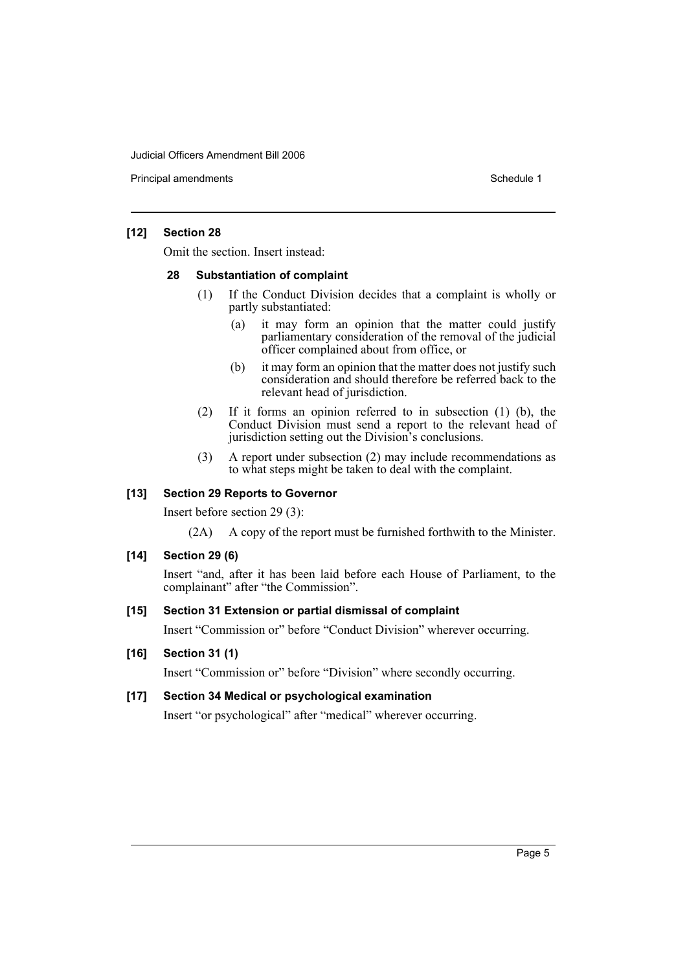**Principal amendments Schedule 1 Contract 2 Contract 2 Schedule 1 Schedule 1** 

#### **[12] Section 28**

Omit the section. Insert instead:

#### **28 Substantiation of complaint**

- (1) If the Conduct Division decides that a complaint is wholly or partly substantiated:
	- (a) it may form an opinion that the matter could justify parliamentary consideration of the removal of the judicial officer complained about from office, or
	- (b) it may form an opinion that the matter does not justify such consideration and should therefore be referred back to the relevant head of jurisdiction.
- (2) If it forms an opinion referred to in subsection (1) (b), the Conduct Division must send a report to the relevant head of jurisdiction setting out the Division's conclusions.
- (3) A report under subsection (2) may include recommendations as to what steps might be taken to deal with the complaint.

#### **[13] Section 29 Reports to Governor**

Insert before section 29 (3):

(2A) A copy of the report must be furnished forthwith to the Minister.

#### **[14] Section 29 (6)**

Insert "and, after it has been laid before each House of Parliament, to the complainant" after "the Commission".

#### **[15] Section 31 Extension or partial dismissal of complaint**

Insert "Commission or" before "Conduct Division" wherever occurring.

#### **[16] Section 31 (1)**

Insert "Commission or" before "Division" where secondly occurring.

# **[17] Section 34 Medical or psychological examination**

Insert "or psychological" after "medical" wherever occurring.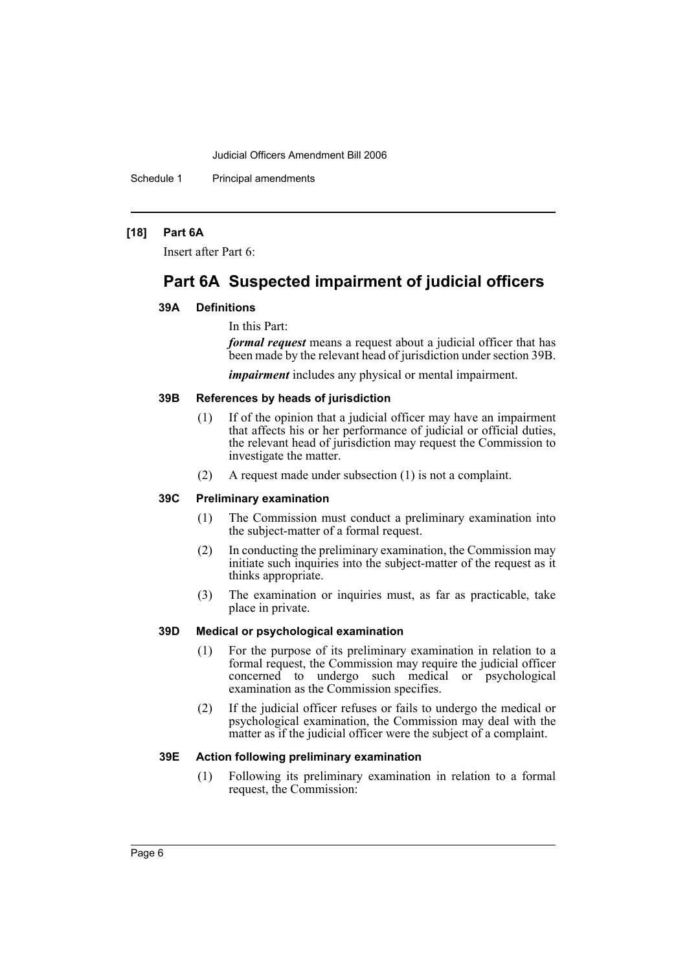Schedule 1 Principal amendments

#### **[18] Part 6A**

Insert after Part 6:

# **Part 6A Suspected impairment of judicial officers**

#### **39A Definitions**

#### In this Part:

*formal request* means a request about a judicial officer that has been made by the relevant head of jurisdiction under section 39B.

*impairment* includes any physical or mental impairment.

# **39B References by heads of jurisdiction**

- (1) If of the opinion that a judicial officer may have an impairment that affects his or her performance of judicial or official duties, the relevant head of jurisdiction may request the Commission to investigate the matter.
- (2) A request made under subsection (1) is not a complaint.

### **39C Preliminary examination**

- (1) The Commission must conduct a preliminary examination into the subject-matter of a formal request.
- (2) In conducting the preliminary examination, the Commission may initiate such inquiries into the subject-matter of the request as it thinks appropriate.
- (3) The examination or inquiries must, as far as practicable, take place in private.

#### **39D Medical or psychological examination**

- (1) For the purpose of its preliminary examination in relation to a formal request, the Commission may require the judicial officer concerned to undergo such medical or psychological examination as the Commission specifies.
- (2) If the judicial officer refuses or fails to undergo the medical or psychological examination, the Commission may deal with the matter as if the judicial officer were the subject of a complaint.

#### **39E Action following preliminary examination**

(1) Following its preliminary examination in relation to a formal request, the Commission: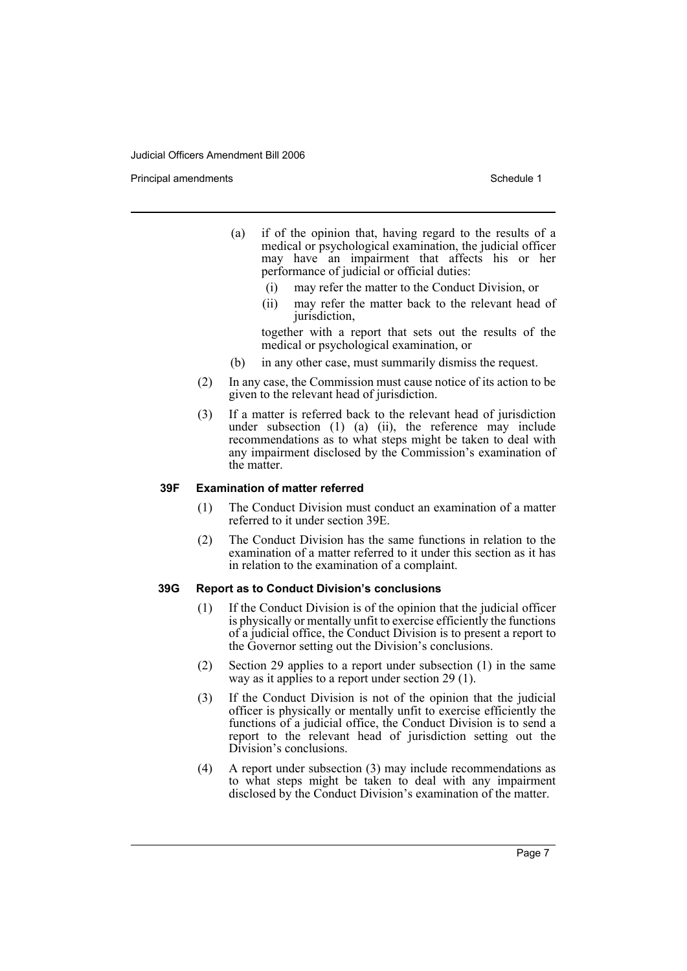Principal amendments **Schedule 1** and the set of the set of the Schedule 1 and the Schedule 1

- (a) if of the opinion that, having regard to the results of a medical or psychological examination, the judicial officer may have an impairment that affects his or her performance of judicial or official duties:
	- (i) may refer the matter to the Conduct Division, or
	- (ii) may refer the matter back to the relevant head of jurisdiction,

together with a report that sets out the results of the medical or psychological examination, or

- (b) in any other case, must summarily dismiss the request.
- (2) In any case, the Commission must cause notice of its action to be given to the relevant head of jurisdiction.
- (3) If a matter is referred back to the relevant head of jurisdiction under subsection (1) (a) (ii), the reference may include recommendations as to what steps might be taken to deal with any impairment disclosed by the Commission's examination of the matter.

#### **39F Examination of matter referred**

- (1) The Conduct Division must conduct an examination of a matter referred to it under section 39E.
- (2) The Conduct Division has the same functions in relation to the examination of a matter referred to it under this section as it has in relation to the examination of a complaint.

#### **39G Report as to Conduct Division's conclusions**

- (1) If the Conduct Division is of the opinion that the judicial officer is physically or mentally unfit to exercise efficiently the functions of a judicial office, the Conduct Division is to present a report to the Governor setting out the Division's conclusions.
- (2) Section 29 applies to a report under subsection (1) in the same way as it applies to a report under section 29 (1).
- (3) If the Conduct Division is not of the opinion that the judicial officer is physically or mentally unfit to exercise efficiently the functions of a judicial office, the Conduct Division is to send a report to the relevant head of jurisdiction setting out the Division's conclusions.
- (4) A report under subsection (3) may include recommendations as to what steps might be taken to deal with any impairment disclosed by the Conduct Division's examination of the matter.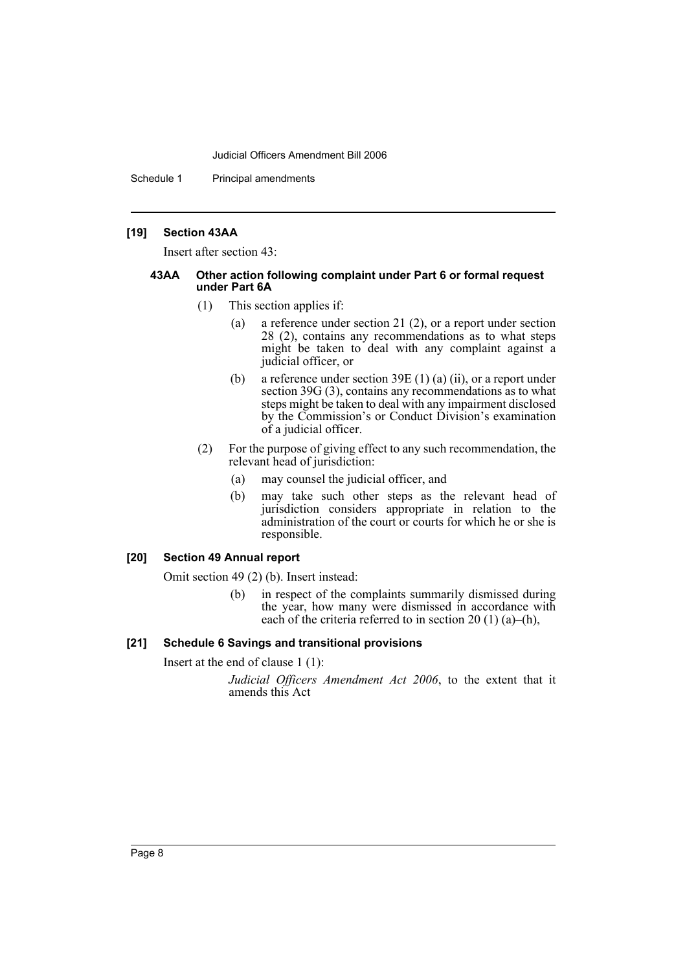Schedule 1 Principal amendments

#### **[19] Section 43AA**

Insert after section 43:

#### **43AA Other action following complaint under Part 6 or formal request under Part 6A**

- (1) This section applies if:
	- (a) a reference under section 21 (2), or a report under section 28 (2), contains any recommendations as to what steps might be taken to deal with any complaint against a judicial officer, or
	- (b) a reference under section 39E (1) (a) (ii), or a report under section 39G (3), contains any recommendations as to what steps might be taken to deal with any impairment disclosed by the Commission's or Conduct Division's examination of a judicial officer.
- (2) For the purpose of giving effect to any such recommendation, the relevant head of jurisdiction:
	- (a) may counsel the judicial officer, and
	- (b) may take such other steps as the relevant head of jurisdiction considers appropriate in relation to the administration of the court or courts for which he or she is responsible.

# **[20] Section 49 Annual report**

Omit section 49 (2) (b). Insert instead:

(b) in respect of the complaints summarily dismissed during the year, how many were dismissed in accordance with each of the criteria referred to in section 20 (1) (a)–(h),

# **[21] Schedule 6 Savings and transitional provisions**

Insert at the end of clause 1 (1):

*Judicial Officers Amendment Act 2006*, to the extent that it amends this Act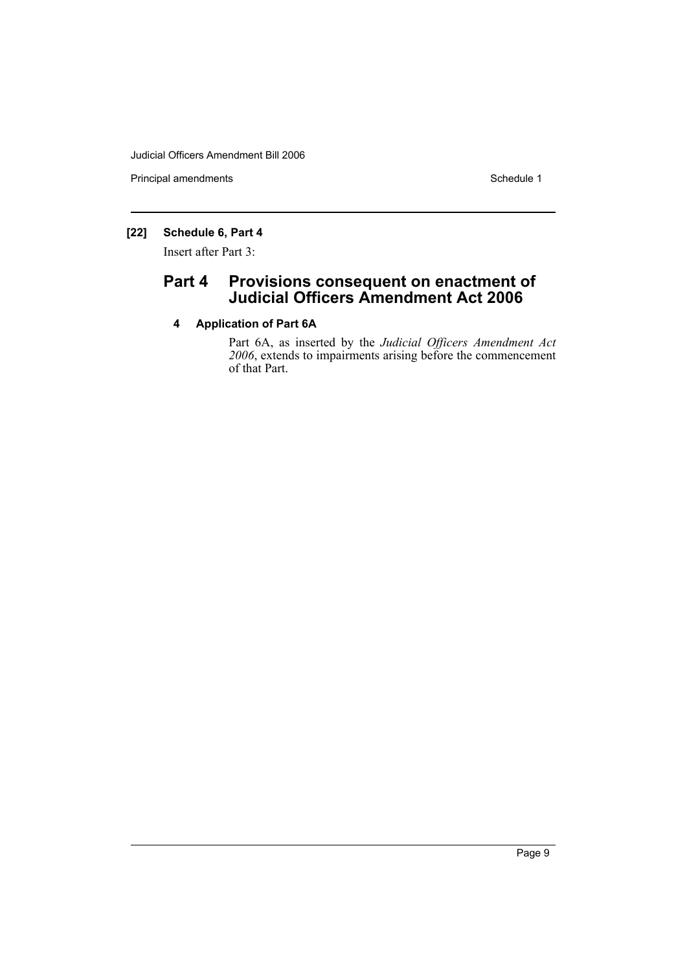Principal amendments **Schedule 1** Schedule 1

# **[22] Schedule 6, Part 4**

Insert after Part 3:

# **Part 4 Provisions consequent on enactment of Judicial Officers Amendment Act 2006**

# **4 Application of Part 6A**

Part 6A, as inserted by the *Judicial Officers Amendment Act 2006*, extends to impairments arising before the commencement of that Part.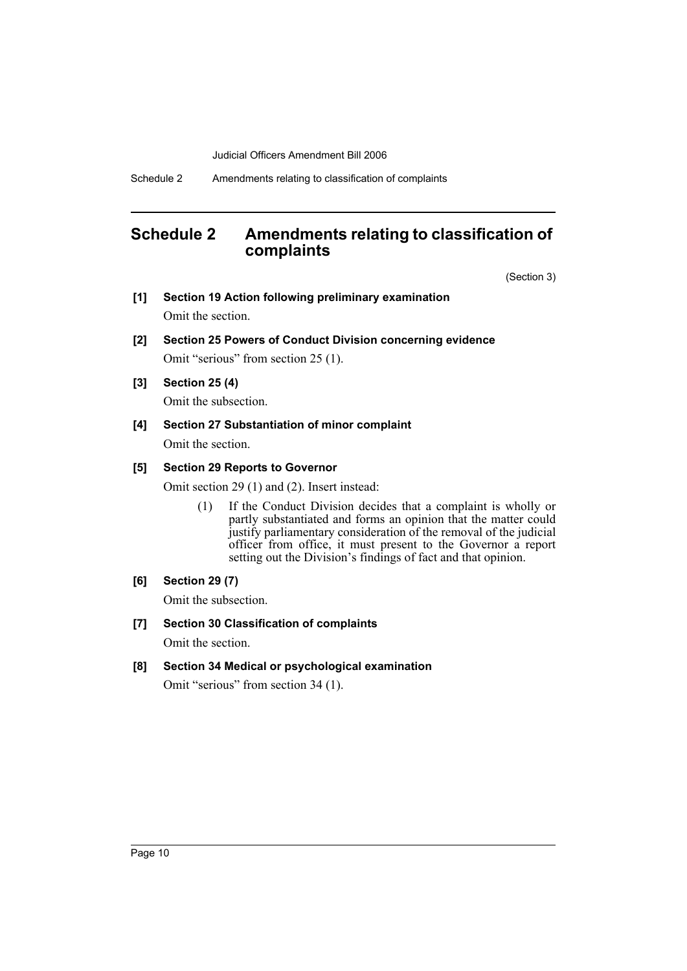# **Schedule 2 Amendments relating to classification of complaints**

(Section 3)

- **[1] Section 19 Action following preliminary examination** Omit the section.
- **[2] Section 25 Powers of Conduct Division concerning evidence** Omit "serious" from section 25 (1).
- **[3] Section 25 (4)**

Omit the subsection.

**[4] Section 27 Substantiation of minor complaint** Omit the section.

# **[5] Section 29 Reports to Governor**

Omit section 29 (1) and (2). Insert instead:

- (1) If the Conduct Division decides that a complaint is wholly or partly substantiated and forms an opinion that the matter could justify parliamentary consideration of the removal of the judicial officer from office, it must present to the Governor a report setting out the Division's findings of fact and that opinion.
- **[6] Section 29 (7)**

Omit the subsection.

- **[7] Section 30 Classification of complaints** Omit the section.
- **[8] Section 34 Medical or psychological examination** Omit "serious" from section 34 (1).